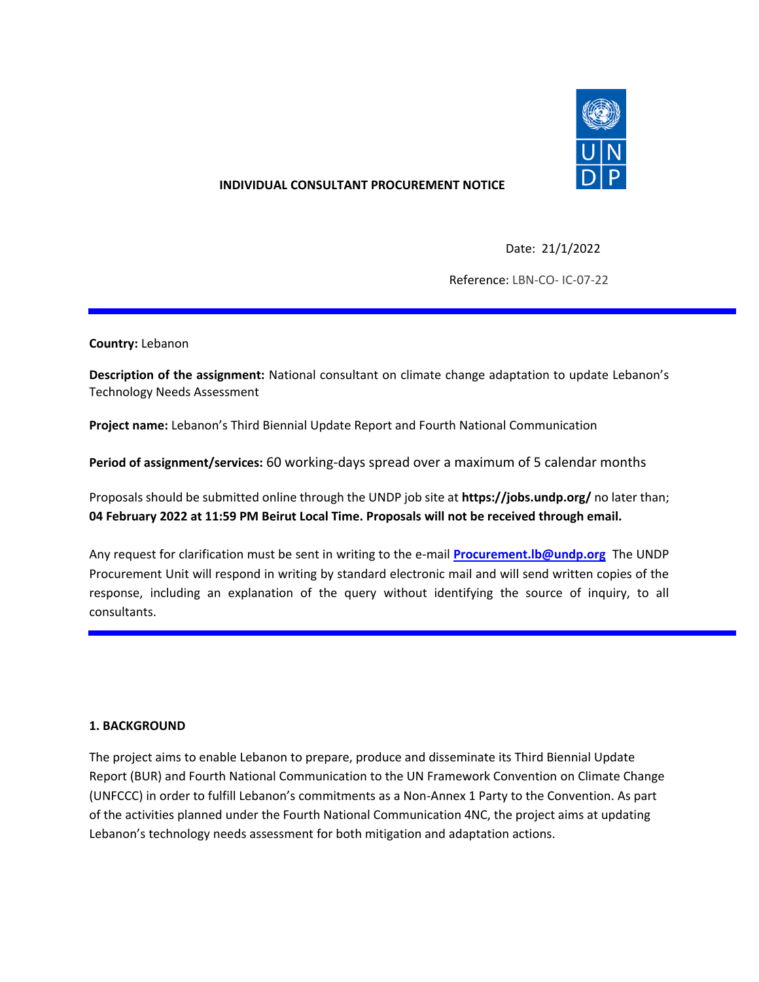

### **INDIVIDUAL CONSULTANT PROCUREMENT NOTICE**

Date: 21/1/2022

Reference: LBN-CO- IC-07-22

**Country:** Lebanon

**Description of the assignment:** National consultant on climate change adaptation to update Lebanon's Technology Needs Assessment

**Project name:** Lebanon's Third Biennial Update Report and Fourth National Communication

**Period of assignment/services:** 60 working-days spread over a maximum of 5 calendar months

Proposals should be submitted online through the UNDP job site at **https://jobs.undp.org/** no later than; **04 February 2022 at 11:59 PM Beirut Local Time. Proposals will not be received through email.**

Any request for clarification must be sent in writing to the e-mail **[Procurement.lb@undp.org](mailto:Procurement.lb@undp.org)** The UNDP Procurement Unit will respond in writing by standard electronic mail and will send written copies of the response, including an explanation of the query without identifying the source of inquiry, to all consultants.

#### **1. BACKGROUND**

The project aims to enable Lebanon to prepare, produce and disseminate its Third Biennial Update Report (BUR) and Fourth National Communication to the UN Framework Convention on Climate Change (UNFCCC) in order to fulfill Lebanon's commitments as a Non-Annex 1 Party to the Convention. As part of the activities planned under the Fourth National Communication 4NC, the project aims at updating Lebanon's technology needs assessment for both mitigation and adaptation actions.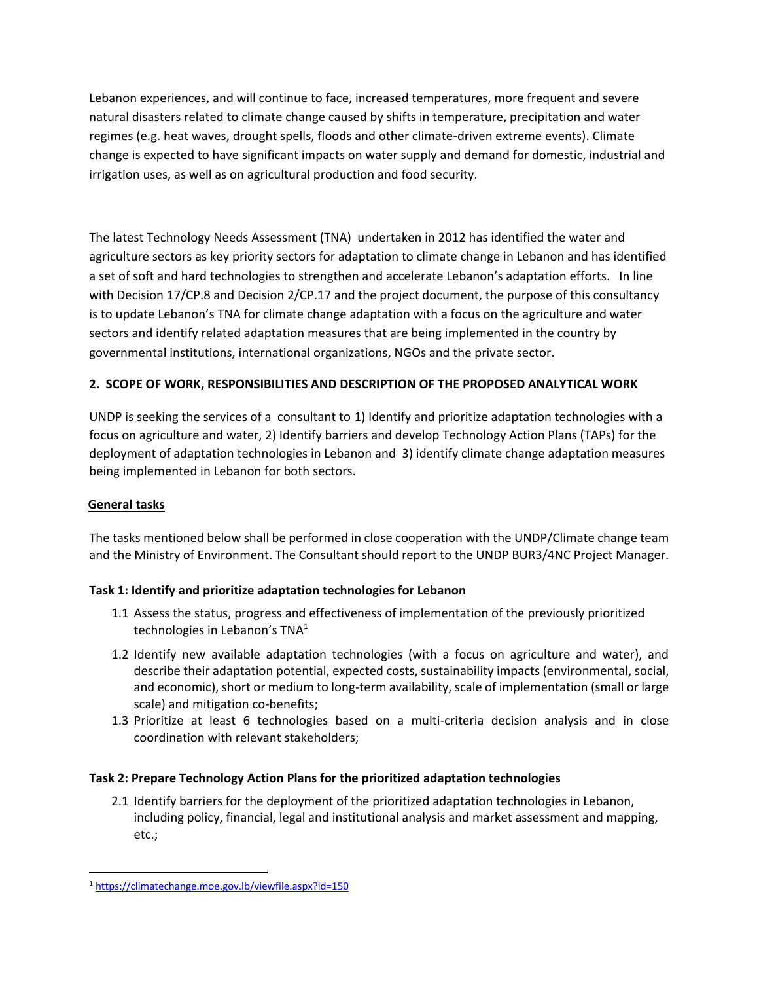Lebanon experiences, and will continue to face, increased temperatures, more frequent and severe natural disasters related to climate change caused by shifts in temperature, precipitation and water regimes (e.g. heat waves, drought spells, floods and other climate-driven extreme events). Climate change is expected to have significant impacts on water supply and demand for domestic, industrial and irrigation uses, as well as on agricultural production and food security.

The latest Technology Needs Assessment (TNA) undertaken in 2012 has identified the water and agriculture sectors as key priority sectors for adaptation to climate change in Lebanon and has identified a set of soft and hard technologies to strengthen and accelerate Lebanon's adaptation efforts. In line with Decision 17/CP.8 and Decision 2/CP.17 and the project document, the purpose of this consultancy is to update Lebanon's TNA for climate change adaptation with a focus on the agriculture and water sectors and identify related adaptation measures that are being implemented in the country by governmental institutions, international organizations, NGOs and the private sector.

# **2. SCOPE OF WORK, RESPONSIBILITIES AND DESCRIPTION OF THE PROPOSED ANALYTICAL WORK**

UNDP is seeking the services of a consultant to 1) Identify and prioritize adaptation technologies with a focus on agriculture and water, 2) Identify barriers and develop Technology Action Plans (TAPs) for the deployment of adaptation technologies in Lebanon and 3) identify climate change adaptation measures being implemented in Lebanon for both sectors.

## **General tasks**

The tasks mentioned below shall be performed in close cooperation with the UNDP/Climate change team and the Ministry of Environment. The Consultant should report to the UNDP BUR3/4NC Project Manager.

## **Task 1: Identify and prioritize adaptation technologies for Lebanon**

- 1.1 Assess the status, progress and effectiveness of implementation of the previously prioritized technologies in Lebanon's TNA<sup>1</sup>
- 1.2 Identify new available adaptation technologies (with a focus on agriculture and water), and describe their adaptation potential, expected costs, sustainability impacts (environmental, social, and economic), short or medium to long-term availability, scale of implementation (small or large scale) and mitigation co-benefits;
- 1.3 Prioritize at least 6 technologies based on a multi-criteria decision analysis and in close coordination with relevant stakeholders;

## **Task 2: Prepare Technology Action Plans for the prioritized adaptation technologies**

2.1 Identify barriers for the deployment of the prioritized adaptation technologies in Lebanon, including policy, financial, legal and institutional analysis and market assessment and mapping, etc.;

<sup>1</sup> <https://climatechange.moe.gov.lb/viewfile.aspx?id=150>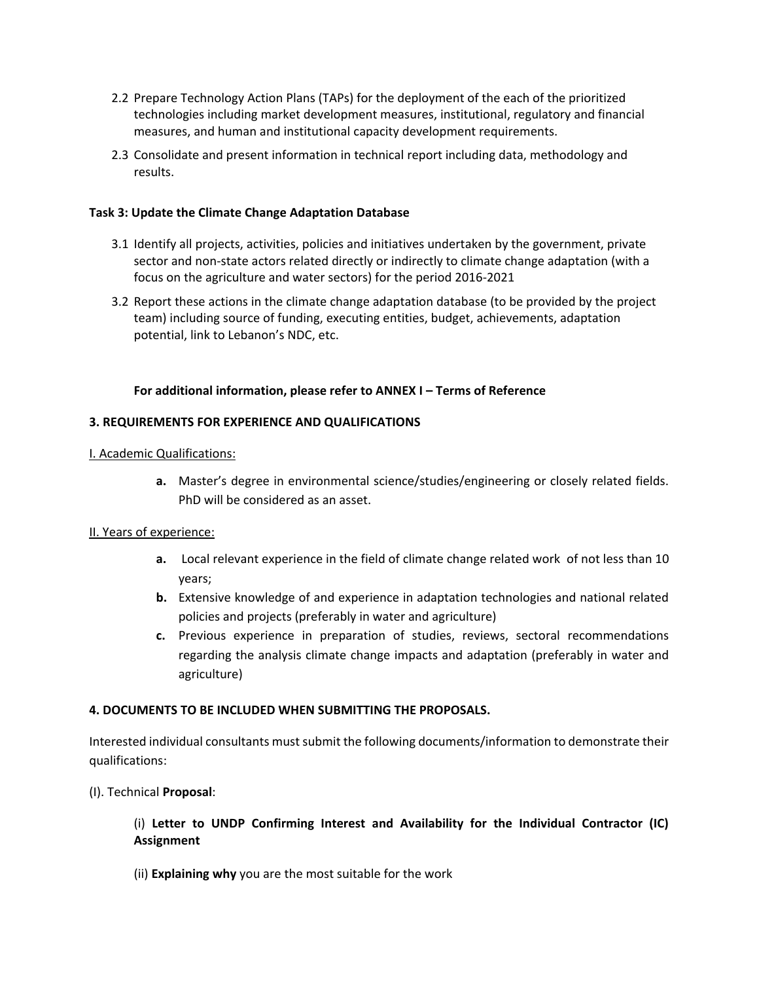- 2.2 Prepare Technology Action Plans (TAPs) for the deployment of the each of the prioritized technologies including market development measures, institutional, regulatory and financial measures, and human and institutional capacity development requirements.
- 2.3 Consolidate and present information in technical report including data, methodology and results.

### **Task 3: Update the Climate Change Adaptation Database**

- 3.1 Identify all projects, activities, policies and initiatives undertaken by the government, private sector and non-state actors related directly or indirectly to climate change adaptation (with a focus on the agriculture and water sectors) for the period 2016-2021
- 3.2 Report these actions in the climate change adaptation database (to be provided by the project team) including source of funding, executing entities, budget, achievements, adaptation potential, link to Lebanon's NDC, etc.

### **For additional information, please refer to ANNEX I – Terms of Reference**

### **3. REQUIREMENTS FOR EXPERIENCE AND QUALIFICATIONS**

#### I. Academic Qualifications:

**a.** Master's degree in environmental science/studies/engineering or closely related fields. PhD will be considered as an asset.

#### II. Years of experience:

- **a.** Local relevant experience in the field of climate change related work of not less than 10 years;
- **b.** Extensive knowledge of and experience in adaptation technologies and national related policies and projects (preferably in water and agriculture)
- **c.** Previous experience in preparation of studies, reviews, sectoral recommendations regarding the analysis climate change impacts and adaptation (preferably in water and agriculture)

## **4. DOCUMENTS TO BE INCLUDED WHEN SUBMITTING THE PROPOSALS.**

Interested individual consultants must submit the following documents/information to demonstrate their qualifications:

## (I). Technical **Proposal**:

## (i) **Letter to UNDP Confirming Interest and Availability for the Individual Contractor (IC) Assignment**

(ii) **Explaining why** you are the most suitable for the work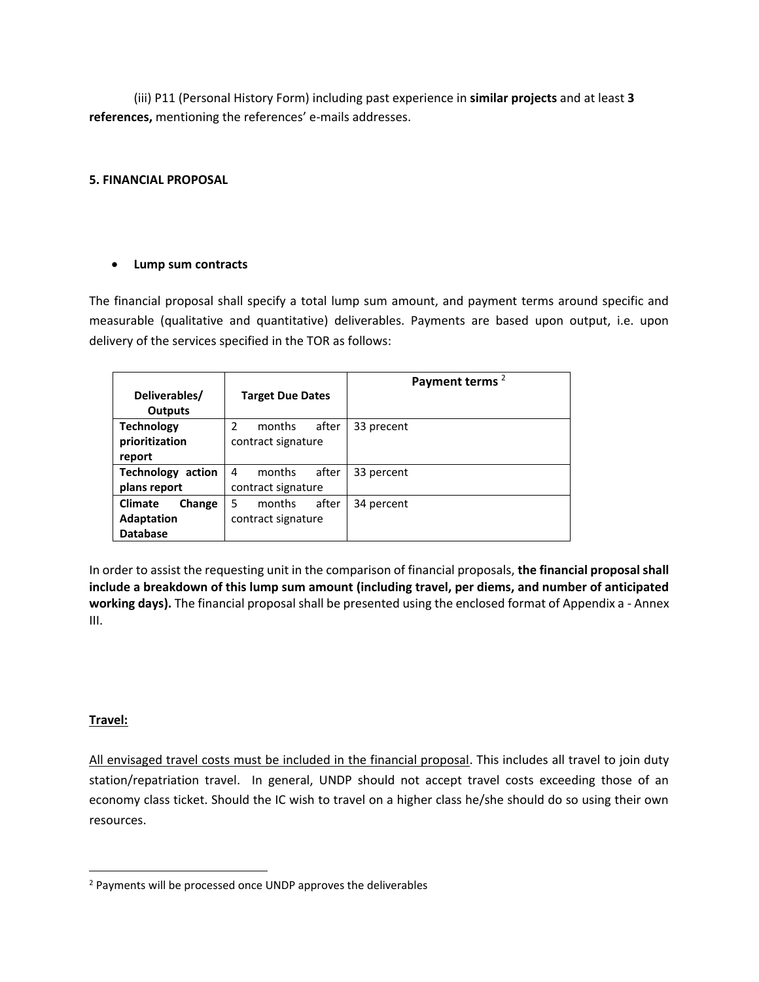(iii) P11 (Personal History Form) including past experience in **similar projects** and at least **3 references,** mentioning the references' e-mails addresses.

## **5. FINANCIAL PROPOSAL**

## • **Lump sum contracts**

The financial proposal shall specify a total lump sum amount, and payment terms around specific and measurable (qualitative and quantitative) deliverables. Payments are based upon output, i.e. upon delivery of the services specified in the TOR as follows:

|                          |                                  | Payment terms <sup>2</sup> |
|--------------------------|----------------------------------|----------------------------|
| Deliverables/            | <b>Target Due Dates</b>          |                            |
| Outputs                  |                                  |                            |
| <b>Technology</b>        | after<br>$\mathcal{P}$<br>months | 33 precent                 |
| prioritization           | contract signature               |                            |
| report                   |                                  |                            |
| <b>Technology action</b> | after<br>months<br>4             | 33 percent                 |
| plans report             | contract signature               |                            |
| Change<br><b>Climate</b> | after<br>5<br>months             | 34 percent                 |
| <b>Adaptation</b>        | contract signature               |                            |
| <b>Database</b>          |                                  |                            |

In order to assist the requesting unit in the comparison of financial proposals, **the financial proposal shall include a breakdown of this lump sum amount (including travel, per diems, and number of anticipated working days).** The financial proposal shall be presented using the enclosed format of Appendix a - Annex III.

## **Travel:**

All envisaged travel costs must be included in the financial proposal. This includes all travel to join duty station/repatriation travel. In general, UNDP should not accept travel costs exceeding those of an economy class ticket. Should the IC wish to travel on a higher class he/she should do so using their own resources.

<sup>2</sup> Payments will be processed once UNDP approves the deliverables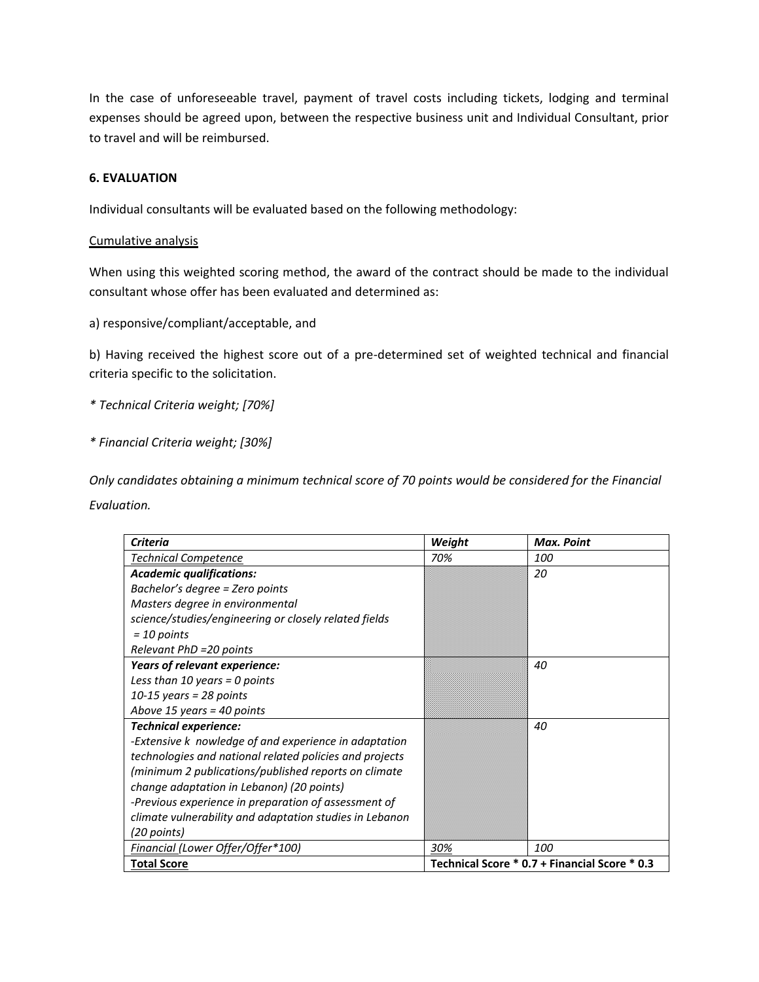In the case of unforeseeable travel, payment of travel costs including tickets, lodging and terminal expenses should be agreed upon, between the respective business unit and Individual Consultant, prior to travel and will be reimbursed.

#### **6. EVALUATION**

Individual consultants will be evaluated based on the following methodology:

#### Cumulative analysis

When using this weighted scoring method, the award of the contract should be made to the individual consultant whose offer has been evaluated and determined as:

a) responsive/compliant/acceptable, and

b) Having received the highest score out of a pre-determined set of weighted technical and financial criteria specific to the solicitation.

*\* Technical Criteria weight; [70%]*

*\* Financial Criteria weight; [30%]*

*Only candidates obtaining a minimum technical score of 70 points would be considered for the Financial Evaluation.*

| <b>Criteria</b>                                         | Weight                                        | Max. Point |
|---------------------------------------------------------|-----------------------------------------------|------------|
| <b>Technical Competence</b>                             | 70%                                           | <i>100</i> |
| <b>Academic qualifications:</b>                         |                                               | 20         |
| Bachelor's degree = Zero points                         |                                               |            |
| Masters degree in environmental                         |                                               |            |
| science/studies/engineering or closely related fields   |                                               |            |
| $=$ 10 points                                           |                                               |            |
| Relevant PhD =20 points                                 |                                               |            |
| Years of relevant experience:                           |                                               | 40         |
| Less than 10 years = 0 points                           |                                               |            |
| $10-15$ years = 28 points                               |                                               |            |
| Above 15 years = 40 points                              |                                               |            |
| <b>Technical experience:</b>                            |                                               | 40         |
| -Extensive k nowledge of and experience in adaptation   |                                               |            |
| technologies and national related policies and projects |                                               |            |
| (minimum 2 publications/published reports on climate    |                                               |            |
| change adaptation in Lebanon) (20 points)               |                                               |            |
| -Previous experience in preparation of assessment of    |                                               |            |
| climate vulnerability and adaptation studies in Lebanon |                                               |            |
| (20 points)                                             |                                               |            |
| Financial (Lower Offer/Offer*100)                       | 30%                                           | <i>100</i> |
| <b>Total Score</b>                                      | Technical Score * 0.7 + Financial Score * 0.3 |            |